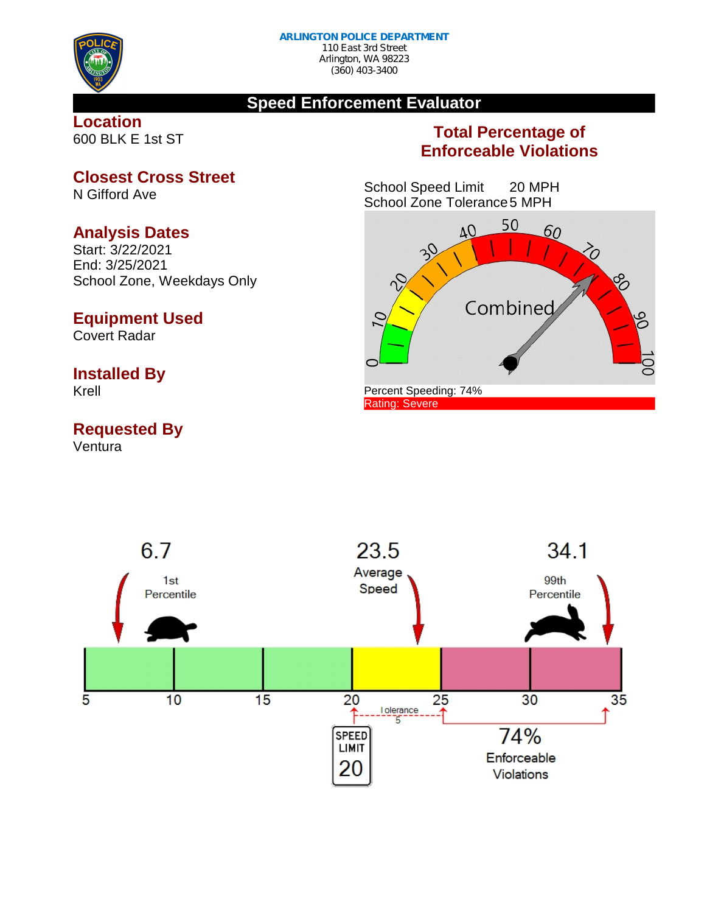

# **Speed Enforcement Evaluator**

**Location** 600 BLK E 1st ST

# **Total Percentage of Enforceable Violations**

School Speed Limit 20 MPH School Zone Tolerance5 MPH



**Closest Cross Street**

N Gifford Ave

#### **Analysis Dates**

Start: 3/22/2021 End: 3/25/2021 School Zone, Weekdays Only

#### **Equipment Used**

Covert Radar

#### **Installed By**

Krell

## **Requested By**

Ventura